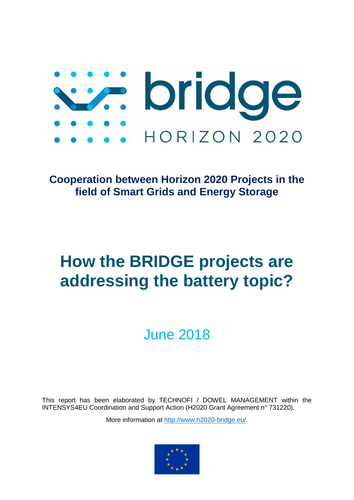# we bridge HORIZON 2020

**Cooperation between Horizon 2020 Projects in the field of Smart Grids and Energy Storage**

# **How the BRIDGE projects are addressing the battery topic?**

## June 2018

This report has been elaborated by TECHNOFI / DOWEL MANAGEMENT within the INTENSYS4EU Coordination and Support Action (H2020 Grant Agreement n° 731220).

More information at [http://www.h2020-bridge.eu/.](http://www.h2020-bridge.eu/)

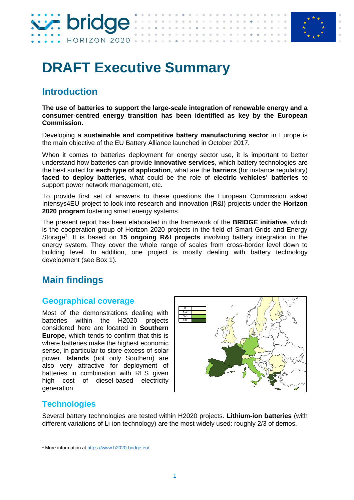



## **Introduction**

**The use of batteries to support the large-scale integration of renewable energy and a consumer-centred energy transition has been identified as key by the European Commission.**

Developing a **sustainable and competitive battery manufacturing sector** in Europe is the main objective of the EU Battery Alliance launched in October 2017.

When it comes to batteries deployment for energy sector use, it is important to better understand how batteries can provide **innovative services**, which battery technologies are the best suited for **each type of application**, what are the **barriers** (for instance regulatory) **faced to deploy batteries**, what could be the role of **electric vehicles' batteries** to support power network management, etc.

To provide first set of answers to these questions the European Commission asked Intensys4EU project to look into research and innovation (R&I) projects under the **Horizon 2020 program** fostering smart energy systems.

The present report has been elaborated in the framework of the **BRIDGE initiative**, which is the cooperation group of Horizon 2020 projects in the field of Smart Grids and Energy Storage<sup>1</sup>. It is based on 15 ongoing R&I projects involving battery integration in the energy system. They cover the whole range of scales from cross-border level down to building level. In addition, one project is mostly dealing with battery technology development (see Box 1).

## **Main findings**

#### **Geographical coverage**

Most of the demonstrations dealing with batteries within the H2020 projects considered here are located in **Southern Europe**, which tends to confirm that this is where batteries make the highest economic sense, in particular to store excess of solar power. **Islands** (not only Southern) are also very attractive for deployment of batteries in combination with RES given high cost of diesel-based electricity generation.



#### **Technologies**

Several battery technologies are tested within H2020 projects. **Lithium-ion batteries** (with different variations of Li-ion technology) are the most widely used: roughly 2/3 of demos.

 $\overline{a}$ <sup>1</sup> More information at [https://www.h2020-bridge.eu/.](https://www.h2020-bridge.eu/)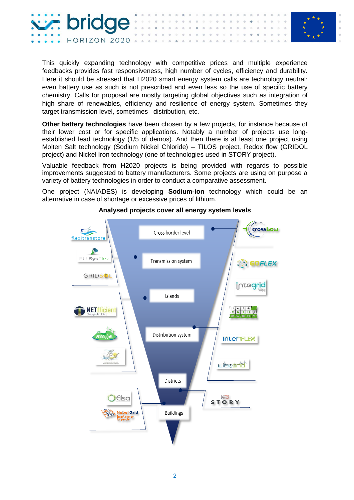

This quickly expanding technology with competitive prices and multiple experience feedbacks provides fast responsiveness, high number of cycles, efficiency and durability. Here it should be stressed that H2020 smart energy system calls are technology neutral: even battery use as such is not prescribed and even less so the use of specific battery chemistry. Calls for proposal are mostly targeting global objectives such as integration of high share of renewables, efficiency and resilience of energy system. Sometimes they target transmission level, sometimes –distribution, etc.

**Other battery technologies** have been chosen by a few projects, for instance because of their lower cost or for specific applications. Notably a number of projects use longestablished lead technology (1/5 of demos). And then there is at least one project using Molten Salt technology (Sodium Nickel Chloride) – TILOS project, Redox flow (GRIDOL project) and Nickel Iron technology (one of technologies used in STORY project).

Valuable feedback from H2020 projects is being provided with regards to possible improvements suggested to battery manufacturers. Some projects are using on purpose a variety of battery technologies in order to conduct a comparative assessment.

One project (NAIADES) is developing **Sodium-ion** technology which could be an alternative in case of shortage or excessive prices of lithium.



**Analysed projects cover all energy system levels**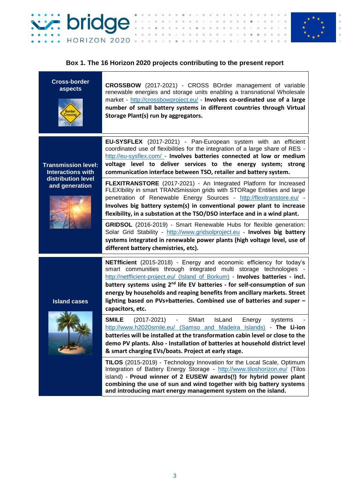



#### **Box 1. The 16 Horizon 2020 projects contributing to the present report**

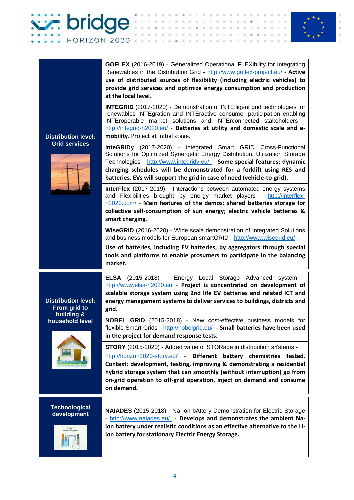



| <b>Distribution level:</b><br><b>Grid services</b>                          | <b>GOFLEX</b> (2016-2019) - Generalized Operational FLEXibility for Integrating<br>Renewables in the Distribution Grid - http://www.goflex-project.eu/ - Active<br>use of distributed sources of flexibility (including electric vehicles) to<br>provide grid services and optimize energy consumption and production<br>at the local level.                                 |
|-----------------------------------------------------------------------------|------------------------------------------------------------------------------------------------------------------------------------------------------------------------------------------------------------------------------------------------------------------------------------------------------------------------------------------------------------------------------|
|                                                                             | <b>INTEGRID</b> (2017-2020) - Demonstration of INTElligent grid technologies for<br>renewables INTEgration and INTEractive consumer participation enabling<br>INTEroperable market solutions and INTErconnected stakeholders -<br>http://integrid-h2020.eu/ - Batteries at utility and domestic scale and e-<br>mobility. Project at initial stage.                          |
|                                                                             | inteGRIDy (2017-2020) - integrated Smart GRID Cross-Functional<br>Solutions for Optimized Synergetic Energy Distribution, Utilization Storage<br>Technologies - http://www.integridy.eu/ - Some special features: dynamic<br>charging schedules will be demonstrated for a forklift using RES and<br>batteries. EVs will support the grid in case of need (vehicle-to-grid). |
|                                                                             | InterFlex (2017-2019) - Interactions between automated energy systems<br>and Flexibilities brought by energy market players - http://interflex-<br>h2020.com/ - Main features of the demos: shared batteries storage for<br>collective self-consumption of sun energy; electric vehicle batteries &<br>smart charging.                                                       |
|                                                                             | WiseGRID (2016-2020) - Wide scale demonstration of Integrated Solutions<br>and business models for European smartGRID - http://www.wisegrid.eu/ -                                                                                                                                                                                                                            |
|                                                                             | Use of batteries, including EV batteries, by aggregators through special<br>tools and platforms to enable prosumers to participate in the balancing<br>market.                                                                                                                                                                                                               |
| <b>Distribution level:</b><br>From grid to<br>building &<br>household level | ELSA (2015-2018) - Energy Local Storage Advanced system<br>http://www.elsa-h2020.eu - Project is concentrated on development of<br>scalable storage system using 2nd life EV batteries and related ICT and<br>energy management systems to deliver services to buildings, districts and<br>grid.                                                                             |
|                                                                             | NOBEL GRID (2015-2018) - New cost-effective business models for<br>flexible Smart Grids - http://nobelgrid.eu/ - Small batteries have been used<br>in the project for demand response tests.                                                                                                                                                                                 |
|                                                                             | <b>STORY</b> (2015-2020) - Added value of STORage in distribution sYstems -                                                                                                                                                                                                                                                                                                  |
|                                                                             | http://horizon2020-story.eu/ - Different battery chemistries tested.<br>Context: development, testing, improving & demonstrating a residential<br>hybrid storage system that can smoothly (without interruption) go from<br>on-grid operation to off-grid operation, inject on demand and consume<br>on demand.                                                              |
| <b>Technological</b><br>development                                         | <b>NAIADES</b> (2015-2018) - Na-Ion bAttery Demonstration for Electric Storage<br>- http://www.naiades.eu/ - Develops and demonstrates the ambient Na-<br>ion battery under realistic conditions as an effective alternative to the Li-<br>ion battery for stationary Electric Energy Storage.                                                                               |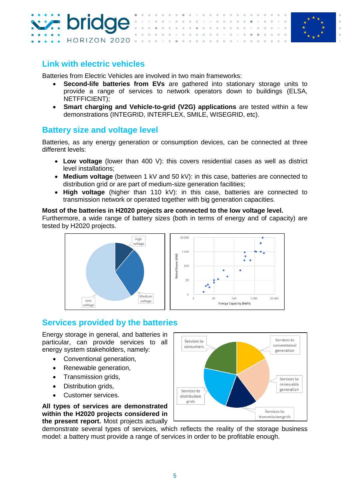



#### **Link with electric vehicles**

Batteries from Electric Vehicles are involved in two main frameworks:

- **Second-life batteries from EVs** are gathered into stationary storage units to provide a range of services to network operators down to buildings (ELSA, NETFFICIENT);
- **Smart charging and Vehicle-to-grid (V2G) applications** are tested within a few demonstrations (INTEGRID, INTERFLEX, SMILE, WISEGRID, etc).

#### **Battery size and voltage level**

Batteries, as any energy generation or consumption devices, can be connected at three different levels:

- **Low voltage** (lower than 400 V): this covers residential cases as well as district level installations;
- **Medium voltage** (between 1 kV and 50 kV): in this case, batteries are connected to distribution grid or are part of medium-size generation facilities;
- **High voltage** (higher than 110 kV): in this case, batteries are connected to transmission network or operated together with big generation capacities.

#### **Most of the batteries in H2020 projects are connected to the low voltage level.**

Furthermore, a wide range of battery sizes (both in terms of energy and of capacity) are tested by H2020 projects.





#### **Services provided by the batteries**

Energy storage in general, and batteries in particular, can provide services to all energy system stakeholders, namely:

- Conventional generation,
- Renewable generation.
- Transmission grids,
- Distribution grids,
- Customer services.

**All types of services are demonstrated within the H2020 projects considered in the present report.** Most projects actually



demonstrate several types of services, which reflects the reality of the storage business model: a battery must provide a range of services in order to be profitable enough.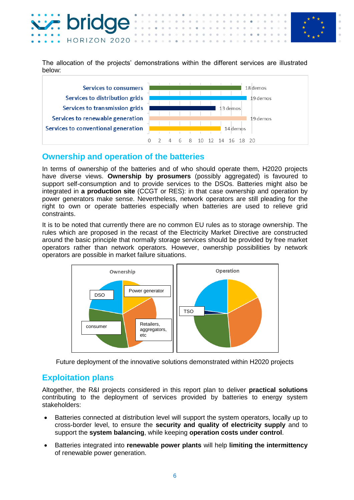

The allocation of the projects' demonstrations within the different services are illustrated below:



#### **Ownership and operation of the batteries**

In terms of ownership of the batteries and of who should operate them, H2020 projects have diverse views. **Ownership by prosumers** (possibly aggregated) is favoured to support self-consumption and to provide services to the DSOs. Batteries might also be integrated in **a production site** (CCGT or RES): in that case ownership and operation by power generators make sense. Nevertheless, network operators are still pleading for the right to own or operate batteries especially when batteries are used to relieve grid constraints.

It is to be noted that currently there are no common EU rules as to storage ownership. The rules which are proposed in the recast of the Electricity Market Directive are constructed around the basic principle that normally storage services should be provided by free market operators rather than network operators. However, ownership possibilities by network operators are possible in market failure situations.



Future deployment of the innovative solutions demonstrated within H2020 projects

#### **Exploitation plans**

Altogether, the R&I projects considered in this report plan to deliver **practical solutions** contributing to the deployment of services provided by batteries to energy system stakeholders:

- Batteries connected at distribution level will support the system operators, locally up to cross-border level, to ensure the **security and quality of electricity supply** and to support the **system balancing**, while keeping **operation costs under control**.
- Batteries integrated into **renewable power plants** will help **limiting the intermittency** of renewable power generation.